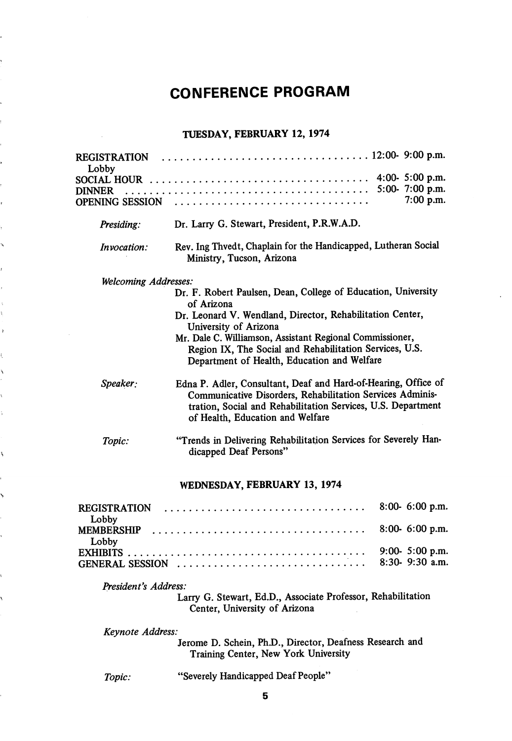# CONFERENCE PROGRAM

#### TUESDAY, FEBRUARY 12, 1974

| <b>REGISTRATION</b>         |                                                                                                                                                                                                                                 |
|-----------------------------|---------------------------------------------------------------------------------------------------------------------------------------------------------------------------------------------------------------------------------|
| Lobby                       | 4:00- 5:00 p.m.                                                                                                                                                                                                                 |
|                             | 5:00-7:00 p.m.                                                                                                                                                                                                                  |
| <b>DINNER</b>               | $7:00$ p.m.<br>OPENING SESSION                                                                                                                                                                                                  |
|                             |                                                                                                                                                                                                                                 |
| Presiding:                  | Dr. Larry G. Stewart, President, P.R.W.A.D.                                                                                                                                                                                     |
| Invocation:                 | Rev. Ing Thvedt, Chaplain for the Handicapped, Lutheran Social<br>Ministry, Tucson, Arizona                                                                                                                                     |
| <b>Welcoming Addresses:</b> |                                                                                                                                                                                                                                 |
|                             | Dr. F. Robert Paulsen, Dean, College of Education, University<br>of Arizona                                                                                                                                                     |
|                             | Dr. Leonard V. Wendland, Director, Rehabilitation Center,<br>University of Arizona                                                                                                                                              |
|                             | Mr. Dale C. Williamson, Assistant Regional Commissioner,<br>Region IX, The Social and Rehabilitation Services, U.S.<br>Department of Health, Education and Welfare                                                              |
| Speaker:                    | Edna P. Adler, Consultant, Deaf and Hard-of-Hearing, Office of<br>Communicative Disorders, Rehabilitation Services Adminis-<br>tration, Social and Rehabilitation Services, U.S. Department<br>of Health, Education and Welfare |
| Topic:                      | "Trends in Delivering Rehabilitation Services for Severely Han-<br>dicapped Deaf Persons"                                                                                                                                       |
|                             |                                                                                                                                                                                                                                 |

# WEDNESDAY, FEBRUARY 13, 1974

| Lobby |  |
|-------|--|
| Lobby |  |
|       |  |

President's Address:

 $\overline{ }$ 

Ñ

 $\ddot{\phantom{a}}$ 

Larry G. Stewart, Ed.D., Associate Professor, Rehabihtation Center, University of Arizona

Keynote Address:

Jerome D. Schein, Ph.D., Director, Deafness Research and Training Center, New York University

Topic: "Severely Handicapped Deaf People"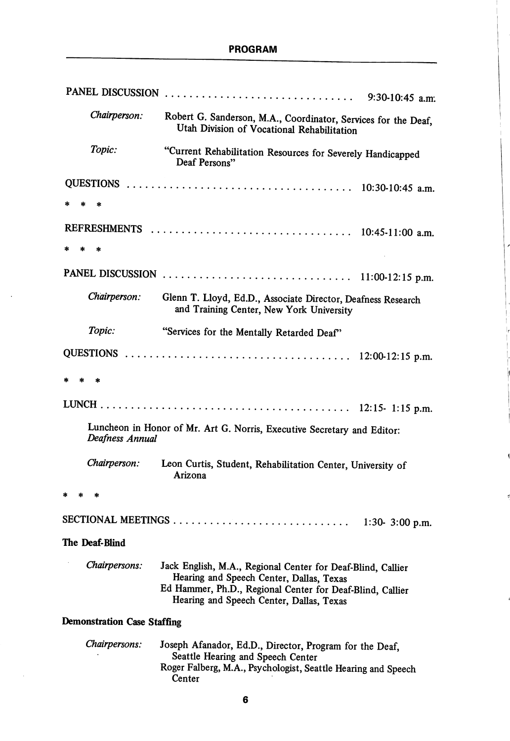| PANEL DISCUSSION                                                                           |                                                                                                                                                                         |  |
|--------------------------------------------------------------------------------------------|-------------------------------------------------------------------------------------------------------------------------------------------------------------------------|--|
| Chairperson:                                                                               | Robert G. Sanderson, M.A., Coordinator, Services for the Deaf,<br>Utah Division of Vocational Rehabilitation                                                            |  |
| Topic:                                                                                     | "Current Rehabilitation Resources for Severely Handicapped<br>Deaf Persons"                                                                                             |  |
|                                                                                            |                                                                                                                                                                         |  |
| $\ast$                                                                                     |                                                                                                                                                                         |  |
|                                                                                            |                                                                                                                                                                         |  |
| sk:                                                                                        |                                                                                                                                                                         |  |
|                                                                                            | PANEL DISCUSSION $\ldots \ldots \ldots \ldots \ldots \ldots \ldots \ldots \ldots \ldots \ldots 11:00-12:15$ p.m.                                                        |  |
| Chairperson:                                                                               | Glenn T. Lloyd, Ed.D., Associate Director, Deafness Research<br>and Training Center, New York University                                                                |  |
| Topic:                                                                                     | "Services for the Mentally Retarded Deaf"                                                                                                                               |  |
|                                                                                            | QUESTIONS $\ldots \ldots \ldots \ldots \ldots \ldots \ldots \ldots \ldots \ldots \ldots \ldots \ldots 12:00-12:15$ p.m.                                                 |  |
|                                                                                            |                                                                                                                                                                         |  |
|                                                                                            |                                                                                                                                                                         |  |
| Luncheon in Honor of Mr. Art G. Norris, Executive Secretary and Editor:<br>Deafness Annual |                                                                                                                                                                         |  |
| Chairperson:                                                                               | Leon Curtis, Student, Rehabilitation Center, University of<br>Arizona                                                                                                   |  |
|                                                                                            |                                                                                                                                                                         |  |
| 1:30- 3:00 p.m.                                                                            |                                                                                                                                                                         |  |
| The Deaf-Blind                                                                             |                                                                                                                                                                         |  |
| Chairpersons:                                                                              | Jack English, M.A., Regional Center for Deaf-Blind, Callier<br>Hearing and Speech Center, Dallas, Texas<br>Ed Hammer, Ph.D., Regional Center for Deaf-Blind, Callier    |  |
|                                                                                            | Hearing and Speech Center, Dallas, Texas                                                                                                                                |  |
| <b>Demonstration Case Staffing</b>                                                         |                                                                                                                                                                         |  |
| Chairpersons:                                                                              | Joseph Afanador, Ed.D., Director, Program for the Deaf,<br>Seattle Hearing and Speech Center<br>Roger Falberg, M.A., Psychologist, Seattle Hearing and Speech<br>Center |  |

ł

 $\ddot{\phantom{a}}$ 

à.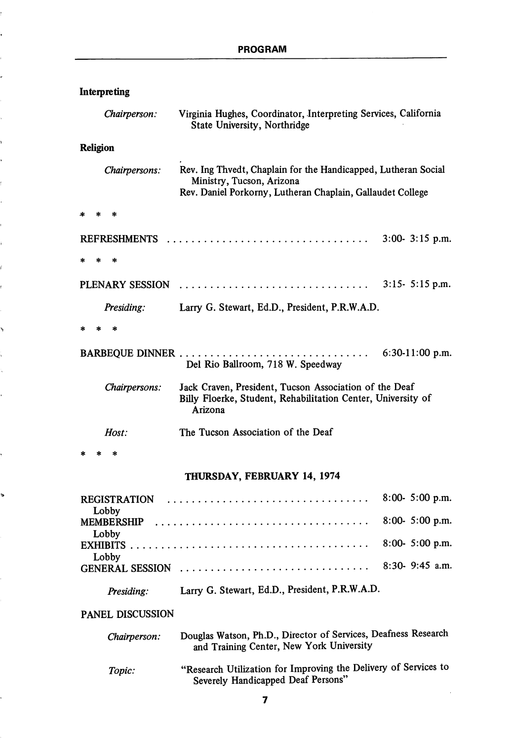|                                                                              |                             | Interpreting                    |                                                                                                                                                           |                    |
|------------------------------------------------------------------------------|-----------------------------|---------------------------------|-----------------------------------------------------------------------------------------------------------------------------------------------------------|--------------------|
|                                                                              |                             | Chairperson:                    | Virginia Hughes, Coordinator, Interpreting Services, California<br>State University, Northridge                                                           |                    |
|                                                                              |                             | <b>Religion</b>                 |                                                                                                                                                           |                    |
|                                                                              |                             | Chairpersons:                   | Rev. Ing Thvedt, Chaplain for the Handicapped, Lutheran Social<br>Ministry, Tucson, Arizona<br>Rev. Daniel Porkorny, Lutheran Chaplain, Gallaudet College |                    |
|                                                                              |                             | sk:                             |                                                                                                                                                           |                    |
|                                                                              |                             | REFRESHMENTS                    |                                                                                                                                                           | $3:00-3:15$ p.m.   |
|                                                                              |                             | $\ast$                          |                                                                                                                                                           |                    |
|                                                                              |                             | PLENARY SESSION                 |                                                                                                                                                           | $3:15 - 5:15$ p.m. |
|                                                                              |                             | Presiding:                      | Larry G. Stewart, Ed.D., President, P.R.W.A.D.                                                                                                            |                    |
|                                                                              |                             |                                 |                                                                                                                                                           |                    |
| 6:30-11:00 p.m.<br>BARBEOUE DINNER<br>.<br>Del Rio Ballroom, 718 W. Speedway |                             |                                 |                                                                                                                                                           |                    |
|                                                                              |                             | Chairpersons:                   | Jack Craven, President, Tucson Association of the Deaf<br>Billy Floerke, Student, Rehabilitation Center, University of<br>Arizona                         |                    |
|                                                                              |                             | Host:                           | The Tucson Association of the Deaf                                                                                                                        |                    |
|                                                                              |                             |                                 |                                                                                                                                                           |                    |
|                                                                              | THURSDAY, FEBRUARY 14, 1974 |                                 |                                                                                                                                                           |                    |
|                                                                              |                             | <b>REGISTRATION</b>             |                                                                                                                                                           | $8:00-5:00$ p.m.   |
| Lobby<br>MEMBERSHIP                                                          |                             |                                 | 8:00- 5:00 p.m.                                                                                                                                           |                    |
| Lobby                                                                        |                             |                                 | 8:00- 5:00 p.m.                                                                                                                                           |                    |
|                                                                              |                             | Lobby<br><b>GENERAL SESSION</b> |                                                                                                                                                           | $8:30 - 9:45$ a.m. |
|                                                                              |                             | Presiding:                      | Larry G. Stewart, Ed.D., President, P.R.W.A.D.                                                                                                            |                    |

# PANEL DISCUSSION

,

ż

÷,

| Chairperson: | Douglas Watson, Ph.D., Director of Services, Deafness Research<br>and Training Center, New York University |
|--------------|------------------------------------------------------------------------------------------------------------|
| Topic:       | "Research Utilization for Improving the Delivery of Services to<br>Severely Handicapped Deaf Persons"      |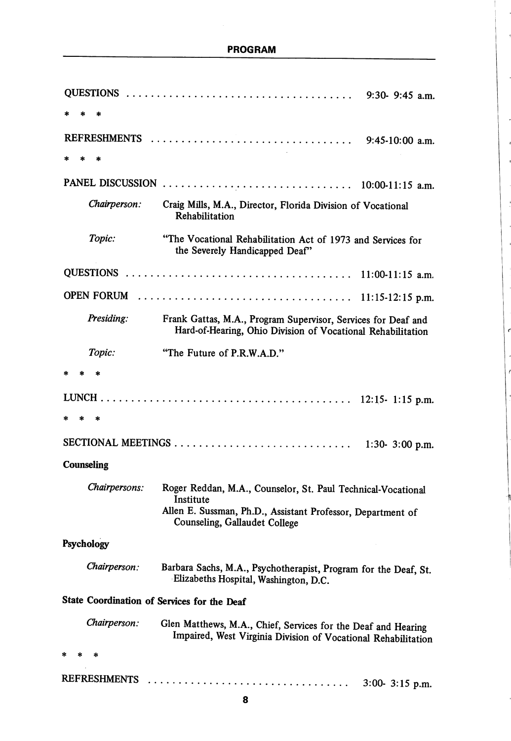### PROGRAM

ł

 $\ddot{\phantom{0}}$ 

 $\overline{\phantom{a}}$ j

j

 $\epsilon$ 

|               | $9:30 - 9:45$ a.m.                                                                                                                                                        |
|---------------|---------------------------------------------------------------------------------------------------------------------------------------------------------------------------|
| ۵k            |                                                                                                                                                                           |
|               |                                                                                                                                                                           |
|               |                                                                                                                                                                           |
|               |                                                                                                                                                                           |
| Chairperson:  | Craig Mills, M.A., Director, Florida Division of Vocational<br>Rehabilitation                                                                                             |
| Topic:        | "The Vocational Rehabilitation Act of 1973 and Services for<br>the Severely Handicapped Deaf"                                                                             |
|               |                                                                                                                                                                           |
| OPEN FORUM    | 11:15-12:15 p.m.                                                                                                                                                          |
| Presiding:    | Frank Gattas, M.A., Program Supervisor, Services for Deaf and<br>Hard-of-Hearing, Ohio Division of Vocational Rehabilitation                                              |
| Topic:        | "The Future of P.R.W.A.D."                                                                                                                                                |
| $\ast$        |                                                                                                                                                                           |
|               |                                                                                                                                                                           |
| sk.           |                                                                                                                                                                           |
|               |                                                                                                                                                                           |
| Counseling    |                                                                                                                                                                           |
| Chairpersons: | Roger Reddan, M.A., Counselor, St. Paul Technical-Vocational<br>Institute<br>Allen E. Sussman, Ph.D., Assistant Professor, Department of<br>Counseling, Gallaudet College |
| Psychology    |                                                                                                                                                                           |
| Chairperson:  | Barbara Sachs, M.A., Psychotherapist, Program for the Deaf, St.<br>Elizabeths Hospital, Washington, D.C.                                                                  |
|               | State Coordination of Services for the Deaf                                                                                                                               |
| Chairperson:  | Glen Matthews, M.A., Chief, Services for the Deaf and Hearing<br>Impaired, West Virginia Division of Vocational Rehabilitation                                            |
| *<br>×.<br>泳  |                                                                                                                                                                           |
| REFRESHMENTS  | $3:00 - 3:15$ p.m.                                                                                                                                                        |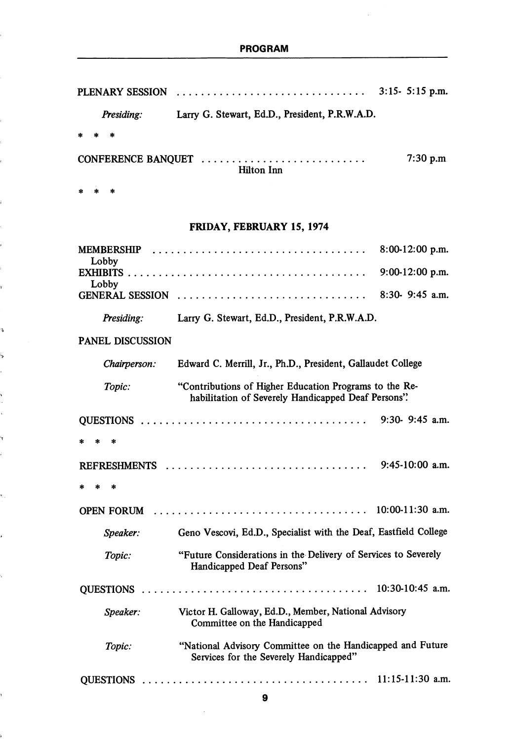PLENARY SESSION 3:15- 5:15 p.m.

Presiding: Larry G. Stewart, Ed.D., President, P.R.W.A.D.

 $*$   $*$   $*$ 

CONFERENCE BANQUET  $\ldots \ldots \ldots \ldots \ldots \ldots \ldots \ldots$  7:30 p.m Hilton Inn

\* \* \*

.

i,

# FRIDAY, FEBRUARY 15, 1974

| <b>MEMBERSHIP</b><br>Lobby      |                                                                                                               | 8:00-12:00 p.m.    |
|---------------------------------|---------------------------------------------------------------------------------------------------------------|--------------------|
| EXHIBITS                        |                                                                                                               | 9:00-12:00 p.m.    |
| Lobby<br><b>GENERAL SESSION</b> |                                                                                                               | $8:30 - 9:45$ a.m. |
|                                 |                                                                                                               |                    |
| Presiding:                      | Larry G. Stewart, Ed.D., President, P.R.W.A.D.                                                                |                    |
| <b>PANEL DISCUSSION</b>         |                                                                                                               |                    |
| Chairperson:                    | Edward C. Merrill, Jr., Ph.D., President, Gallaudet College                                                   |                    |
| Topic:                          | "Contributions of Higher Education Programs to the Re-<br>habilitation of Severely Handicapped Deaf Persons". |                    |
|                                 |                                                                                                               | $9:30 - 9:45$ a.m. |
| $\ast$                          |                                                                                                               |                    |
|                                 | REFRESHMENTS $\ldots \ldots \ldots \ldots \ldots \ldots \ldots \ldots \ldots \ldots \ldots$                   | $9:45-10:00$ a.m.  |
| sk.                             |                                                                                                               |                    |
| OPEN FORUM                      |                                                                                                               | $10:00-11:30$ a.m. |
| Speaker:                        | Geno Vescovi, Ed.D., Specialist with the Deaf, Eastfield College                                              |                    |
| Topic:                          | "Future Considerations in the Delivery of Services to Severely<br>Handicapped Deaf Persons"                   |                    |
| <b>QUESTIONS</b>                |                                                                                                               | 10:30-10:45 a.m.   |
| Speaker:                        | Victor H. Galloway, Ed.D., Member, National Advisory<br>Committee on the Handicapped                          |                    |
| Topic:                          | "National Advisory Committee on the Handicapped and Future<br>Services for the Severely Handicapped"          |                    |
|                                 |                                                                                                               | $11:15-11:30$ a.m. |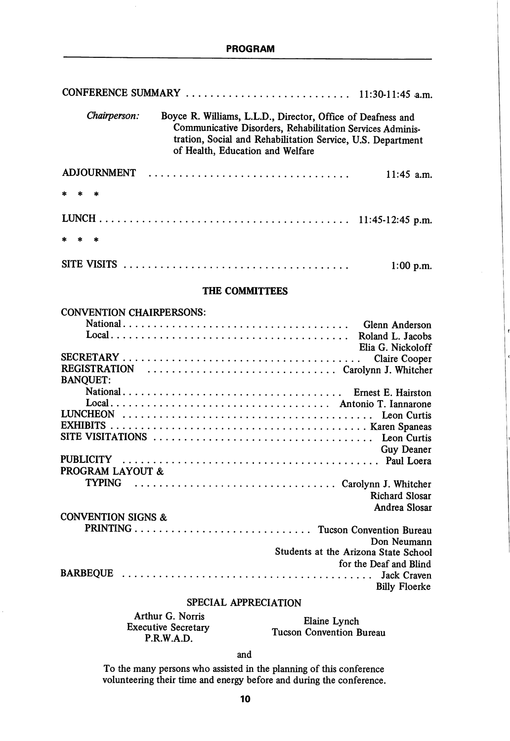|                    | CONFERENCE SUMMARY $\ldots \ldots \ldots \ldots \ldots \ldots \ldots \ldots \ldots$ 11:30-11:45 a.m.                                                                                                                        |              |
|--------------------|-----------------------------------------------------------------------------------------------------------------------------------------------------------------------------------------------------------------------------|--------------|
| Chairperson:       | Boyce R. Williams, L.L.D., Director, Office of Deafness and<br>Communicative Disorders, Rehabilitation Services Adminis-<br>tration, Social and Rehabilitation Service, U.S. Department<br>of Health, Education and Welfare |              |
| <b>ADJOURNMENT</b> |                                                                                                                                                                                                                             | $11:45$ a.m. |
|                    |                                                                                                                                                                                                                             |              |
|                    |                                                                                                                                                                                                                             |              |
|                    |                                                                                                                                                                                                                             |              |
|                    |                                                                                                                                                                                                                             | $1:00$ p.m.  |

#### THE COMMITTEES

#### CONVENTION CHAIRPERSONS: National Glenn Anderson Local Roland L. Jacobs Elia G. Nickoloff SECRETARY Claire Cooper REGISTRATION Carolynn J. Whitcher BANQUET: National Ernest E. Hairston Local Antonio T. lannarone LUNCHEON Leon Curtis EXHIBITS Karen Spaneas SITE VISITATIONS Leon Curtis Guy Deaner PUBLICITY Paul Loera PROGRAM LAYOUT & TYPING Carolynn J. Whitcher Richard Slosar Andrea Slosar CONVENTION SIGNS & PRINTING Tucson Convention Bureau Don Neumann Students at the Arizona State School for the Deaf and Blind BARBEQUE Jack Craven

#### SPECIAL APPRECIATION

Arthur G. Norris Elaine Lynch<br>Executive Secretary Freeze Communication

cutive secretary<br>P.R.W.A.D.

Billy Floerke

and

To the many persons who assisted in the planning of this conference volunteering their time and energy before and during the conference.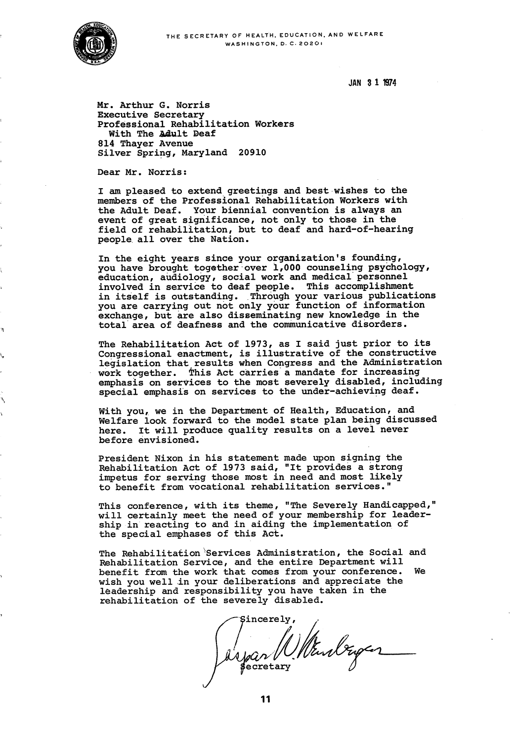

THE SECRETARY OF HEALTH. EDUCATION. AND WELFARE WASHINGTON. D. C. 2020l

JAN 3 1 1974

Mr. Arthur G. Norris Executive Secretary Professional Rehabilitation Workers With The Adult Deaf 814 Thayer Avenue Silver Spring, Maryland 20910

Dear Mr. Norris:

I am pleased to extend greetings and best wishes to the members of the Professional Rehabilitation Workers with the Adult Deaf. Your biennial convention is always an event of great significance, not only to those in the field of rehabilitation, but to deaf and hard-of-hearing people all over the Nation.

In the eight years since your organization's founding, you have brought together over 1,000 counseling psychology, education, audiology, social work and medical personnel involved in service to deaf people. This accomplishment in itself is outstanding. Through your various publications you are carrying out not only your function of information exchange, but are also disseminating new knowledge in the total area of deafness and the communicative disorders.

The Rehabilitation Act of 1973, as I said just prior to its Congressional enactment, is illustrative of the constructive legislation that results when Congress and the Administration work together, "this Act carries a mandate for increasing emphasis on services to the most severely disabled, including special emphasis on services to the under-achieving deaf.

With you, we in the Department of Health, Education, and Welfare look forward to the model state plan being discussed here. It will produce quality results on a level never before envisioned.

President Nixon in his statement made upon signing the Rehabilitation Act of 1973 said, "It provides a strong impetus for serving those most in need and most likely to benefit from vocational rehabilitation services."

This conference, with its theme, "The Severely Handicapped," will certainly meet the need of your membership for leader ship in reacting to and in aiding the implementation of the special emphases of this Act.

The Rehabilitation Services Administration, the Social and Rehabilitation Service, and the entire Department will benefit from the work that comes from your conference. We wish you well in your deliberations and appreciate the leadership and responsibility you have taken in the rehabilitation of the severely disabled.

Sincerely Mindryen ecretary